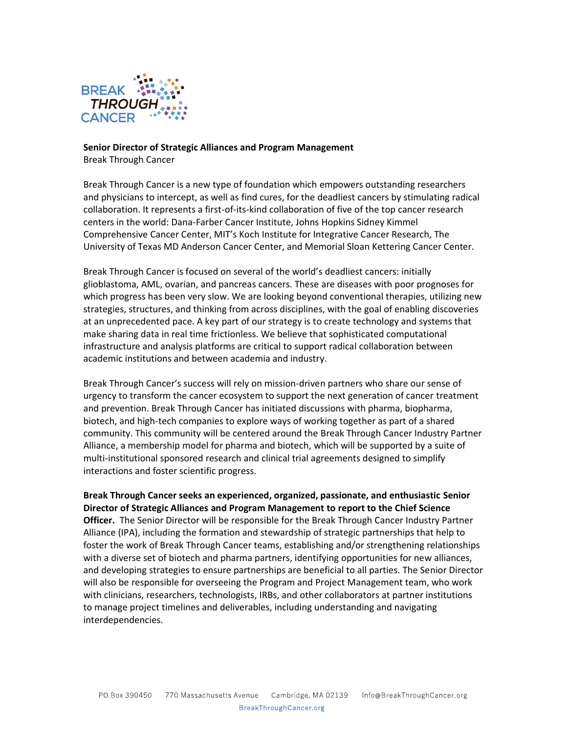

## **Senior Director of Strategic Alliances and Program Management** Break Through Cancer

Break Through Cancer is a new type of foundation which empowers outstanding researchers and physicians to intercept, as well as find cures, for the deadliest cancers by stimulating radical collaboration. It represents a first-of-its-kind collaboration of five of the top cancer research centers in the world: Dana-Farber Cancer Institute, Johns Hopkins Sidney Kimmel Comprehensive Cancer Center, MIT's Koch Institute for Integrative Cancer Research, The University of Texas MD Anderson Cancer Center, and Memorial Sloan Kettering Cancer Center.

Break Through Cancer is focused on several of the world's deadliest cancers: initially glioblastoma, AML, ovarian, and pancreas cancers. These are diseases with poor prognoses for which progress has been very slow. We are looking beyond conventional therapies, utilizing new strategies, structures, and thinking from across disciplines, with the goal of enabling discoveries at an unprecedented pace. A key part of our strategy is to create technology and systems that make sharing data in real time frictionless. We believe that sophisticated computational infrastructure and analysis platforms are critical to support radical collaboration between academic institutions and between academia and industry.

Break Through Cancer's success will rely on mission-driven partners who share our sense of urgency to transform the cancer ecosystem to support the next generation of cancer treatment and prevention. Break Through Cancer has initiated discussions with pharma, biopharma, biotech, and high-tech companies to explore ways of working together as part of a shared community. This community will be centered around the Break Through Cancer Industry Partner Alliance, a membership model for pharma and biotech, which will be supported by a suite of multi-institutional sponsored research and clinical trial agreements designed to simplify interactions and foster scientific progress.

**Break Through Cancer seeks an experienced, organized, passionate, and enthusiastic Senior Director of Strategic Alliances and Program Management to report to the Chief Science Officer.** The Senior Director will be responsible for the Break Through Cancer Industry Partner Alliance (IPA), including the formation and stewardship of strategic partnerships that help to foster the work of Break Through Cancer teams, establishing and/or strengthening relationships with a diverse set of biotech and pharma partners, identifying opportunities for new alliances, and developing strategies to ensure partnerships are beneficial to all parties. The Senior Director will also be responsible for overseeing the Program and Project Management team, who work with clinicians, researchers, technologists, IRBs, and other collaborators at partner institutions to manage project timelines and deliverables, including understanding and navigating interdependencies.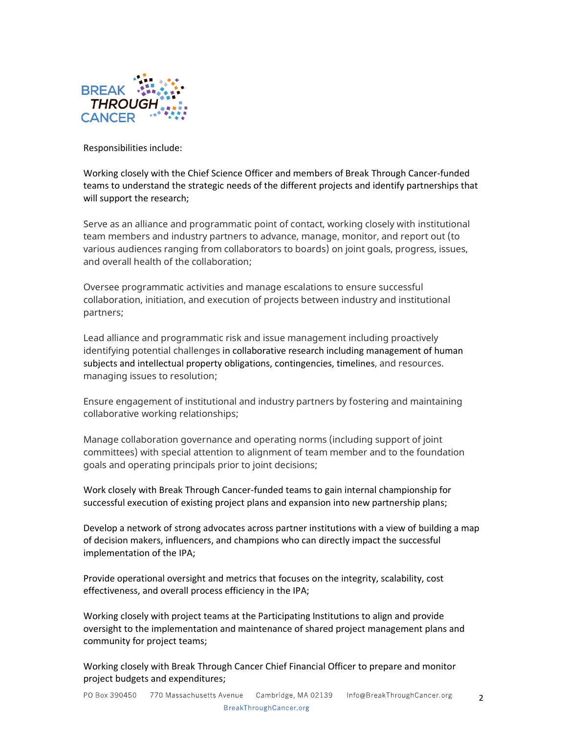

Responsibilities include:

Working closely with the Chief Science Officer and members of Break Through Cancer-funded teams to understand the strategic needs of the different projects and identify partnerships that will support the research;

Serve as an alliance and programmatic point of contact, working closely with institutional team members and industry partners to advance, manage, monitor, and report out (to various audiences ranging from collaborators to boards) on joint goals, progress, issues, and overall health of the collaboration;

Oversee programmatic activities and manage escalations to ensure successful collaboration, initiation, and execution of projects between industry and institutional partners;

Lead alliance and programmatic risk and issue management including proactively identifying potential challenges in collaborative research including management of human subjects and intellectual property obligations, contingencies, timelines, and resources. managing issues to resolution;

Ensure engagement of institutional and industry partners by fostering and maintaining collaborative working relationships;

Manage collaboration governance and operating norms (including support of joint committees) with special attention to alignment of team member and to the foundation goals and operating principals prior to joint decisions;

Work closely with Break Through Cancer-funded teams to gain internal championship for successful execution of existing project plans and expansion into new partnership plans;

Develop a network of strong advocates across partner institutions with a view of building a map of decision makers, influencers, and champions who can directly impact the successful implementation of the IPA;

Provide operational oversight and metrics that focuses on the integrity, scalability, cost effectiveness, and overall process efficiency in the IPA;

Working closely with project teams at the Participating Institutions to align and provide oversight to the implementation and maintenance of shared project management plans and community for project teams;

Working closely with Break Through Cancer Chief Financial Officer to prepare and monitor project budgets and expenditures;